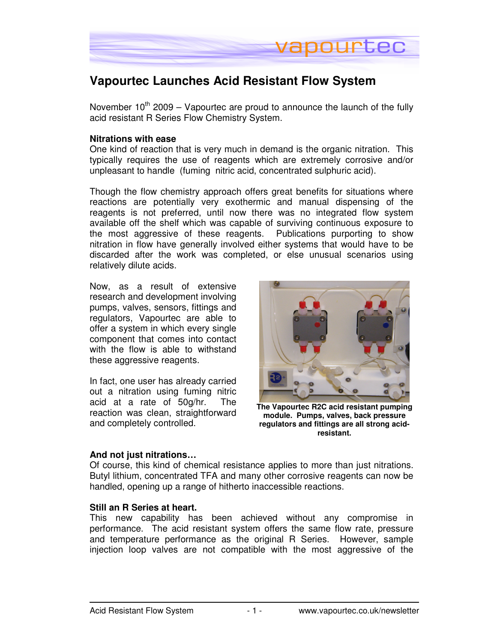

# **Vapourtec Launches Acid Resistant Flow System**

November  $10^{th}$  2009 – Vapourtec are proud to announce the launch of the fully acid resistant R Series Flow Chemistry System.

#### **Nitrations with ease**

One kind of reaction that is very much in demand is the organic nitration. This typically requires the use of reagents which are extremely corrosive and/or unpleasant to handle (fuming nitric acid, concentrated sulphuric acid).

Though the flow chemistry approach offers great benefits for situations where reactions are potentially very exothermic and manual dispensing of the reagents is not preferred, until now there was no integrated flow system available off the shelf which was capable of surviving continuous exposure to the most aggressive of these reagents. Publications purporting to show nitration in flow have generally involved either systems that would have to be discarded after the work was completed, or else unusual scenarios using relatively dilute acids.

Now, as a result of extensive research and development involving pumps, valves, sensors, fittings and regulators, Vapourtec are able to offer a system in which every single component that comes into contact with the flow is able to withstand these aggressive reagents.

In fact, one user has already carried out a nitration using fuming nitric acid at a rate of 50g/hr. The reaction was clean, straightforward and completely controlled.



**The Vapourtec R2C acid resistant pumping module. Pumps, valves, back pressure regulators and fittings are all strong acidresistant.** 

## **And not just nitrations…**

Of course, this kind of chemical resistance applies to more than just nitrations. Butyl lithium, concentrated TFA and many other corrosive reagents can now be handled, opening up a range of hitherto inaccessible reactions.

## **Still an R Series at heart.**

This new capability has been achieved without any compromise in performance. The acid resistant system offers the same flow rate, pressure and temperature performance as the original R Series. However, sample injection loop valves are not compatible with the most aggressive of the